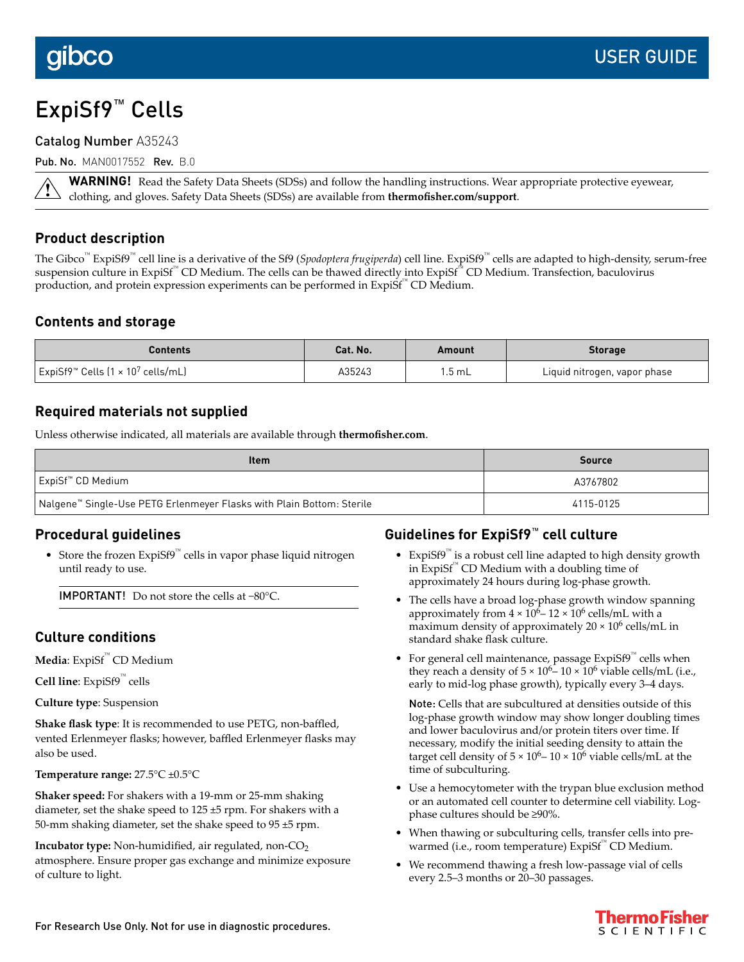# ExpiSf9™ Cells

#### Catalog Number A35243

Pub. No. MAN0017552 Rev. B.0

**WARNING!** Read the Safety Data Sheets (SDSs) and follow the handling instructions. Wear appropriate protective eyewear, clothing, and gloves. Safety Data Sheets (SDSs) are available from **thermofisher.com/support**.

#### **Product description**

The Gibco<sup>™</sup> ExpiSf9™ cell line is a derivative of the Sf9 (*Spodoptera frugiperda*) cell line. ExpiSf9™ cells are adapted to high-density, serum-free suspension culture in ExpiSf™ CD Medium. The cells can be thawed directly into ExpiSf™ CD Medium. Transfection, baculovirus production, and protein expression experiments can be performed in ExpiSf<sup>™</sup> CD Medium.

#### **Contents and storage**

| Contents                                              | Cat. No. | Amount | <b>Storage</b>               |
|-------------------------------------------------------|----------|--------|------------------------------|
| $\vert$ ExpiSf9™ Cells (1 × 10 <sup>7</sup> cells/mL) | A35243   | 1.5 mL | Liquid nitrogen, vapor phase |

#### **Required materials not supplied**

Unless otherwise indicated, all materials are available through **thermofisher.com**.

| Item                                                                    | Source    |
|-------------------------------------------------------------------------|-----------|
| ExpiSf™ CD Medium                                                       | A3767802  |
| │ Nalgene™ Single-Use PETG Erlenmeyer Flasks with Plain Bottom: Sterile | 4115-0125 |

#### **Procedural guidelines**

• Store the frozen ExpiSf9™ cells in vapor phase liquid nitrogen until ready to use.

IMPORTANT! Do not store the cells at −80°C.

#### **Culture conditions**

**Media**: ExpiSf™ CD Medium

**Cell line**: ExpiSf9™ cells

**Culture type**: Suspension

**Shake flask type**: It is recommended to use PETG, non-baffled, vented Erlenmeyer flasks; however, baffled Erlenmeyer flasks may also be used.

**Temperature range:** 27.5°C ±0.5°C

**Shaker speed:** For shakers with a 19-mm or 25-mm shaking diameter, set the shake speed to 125 ±5 rpm. For shakers with a 50-mm shaking diameter, set the shake speed to 95 ±5 rpm.

**Incubator type:** Non-humidified, air regulated, non-CO<sub>2</sub> atmosphere. Ensure proper gas exchange and minimize exposure of culture to light.

## **Guidelines for ExpiSf9**™ **cell culture**

- ExpiSf9™ is a robust cell line adapted to high density growth in ExpiSf™ CD Medium with a doubling time of approximately 24 hours during log-phase growth.
- The cells have a broad log-phase growth window spanning approximately from  $4 \times 10^6 - 12 \times 10^6$  cells/mL with a maximum density of approximately  $20 \times 10^6$  cells/mL in standard shake flask culture.
- For general cell maintenance, passage ExpiSf9™ cells when they reach a density of  $5 \times 10^{6} - 10 \times 10^{6}$  viable cells/mL (i.e., early to mid-log phase growth), typically every 3–4 days.

Note: Cells that are subcultured at densities outside of this log-phase growth window may show longer doubling times and lower baculovirus and/or protein titers over time. If necessary, modify the initial seeding density to attain the target cell density of  $5 \times 10^6$  –  $10 \times 10^6$  viable cells/mL at the time of subculturing.

- Use a hemocytometer with the trypan blue exclusion method or an automated cell counter to determine cell viability. Logphase cultures should be ≥90%.
- When thawing or subculturing cells, transfer cells into prewarmed (i.e., room temperature) ExpiSf™ CD Medium.
- We recommend thawing a fresh low-passage vial of cells every 2.5–3 months or 20–30 passages.

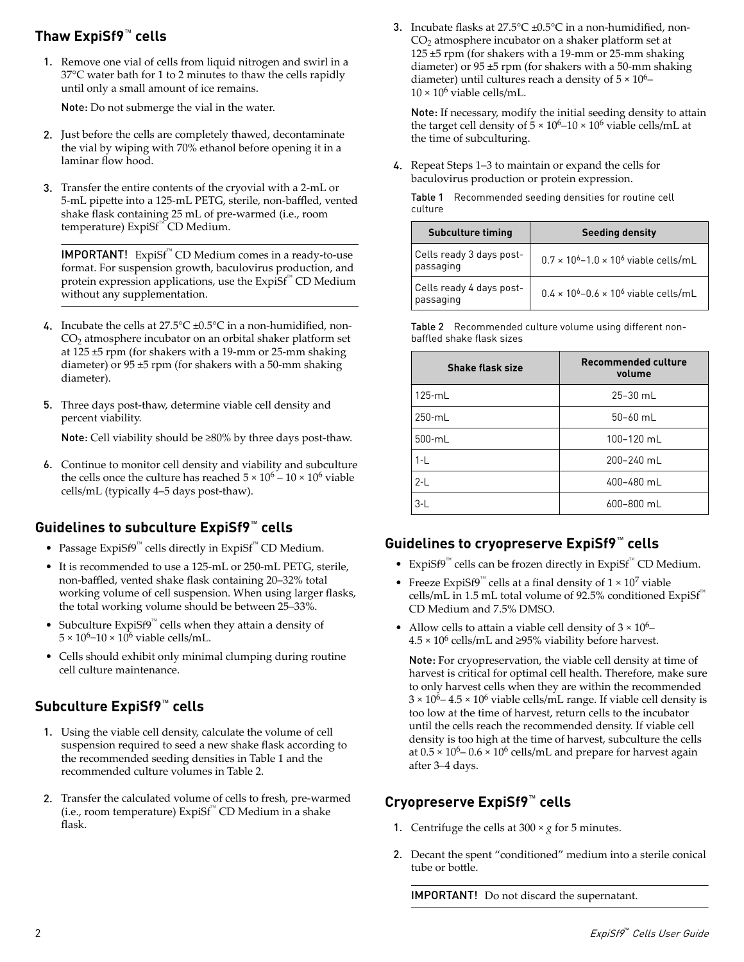# **Thaw ExpiSf9**™ **cells**

1. Remove one vial of cells from liquid nitrogen and swirl in a 37°C water bath for 1 to 2 minutes to thaw the cells rapidly until only a small amount of ice remains.

Note: Do not submerge the vial in the water.

- 2. Just before the cells are completely thawed, decontaminate the vial by wiping with 70% ethanol before opening it in a laminar flow hood.
- 3. Transfer the entire contents of the cryovial with a 2-mL or 5-mL pipette into a 125-mL PETG, sterile, non-baffled, vented shake flask containing 25 mL of pre-warmed (i.e., room temperature) ExpiSf™ CD Medium.

IMPORTANT! ExpiSf™ CD Medium comes in a ready-to-use format. For suspension growth, baculovirus production, and protein expression applications, use the ExpiSf<sup>™</sup> CD Medium without any supplementation.

- 4. Incubate the cells at  $27.5^{\circ}$ C ±0.5°C in a non-humidified, non-CO<sup>2</sup> atmosphere incubator on an orbital shaker platform set at 125 ±5 rpm (for shakers with a 19-mm or 25-mm shaking diameter) or 95 ±5 rpm (for shakers with a 50-mm shaking diameter).
- 5. Three days post-thaw, determine viable cell density and percent viability.

Note: Cell viability should be ≥80% by three days post-thaw.

6. Continue to monitor cell density and viability and subculture the cells once the culture has reached  $5 \times 10^6 - 10 \times 10^6$  viable cells/mL (typically 4–5 days post-thaw).

## **Guidelines to subculture ExpiSf9**™ **cells**

- Passage ExpiSf9™ cells directly in ExpiSf™ CD Medium.
- It is recommended to use a 125-mL or 250-mL PETG, sterile, non-baffled, vented shake flask containing 20–32% total working volume of cell suspension. When using larger flasks, the total working volume should be between 25–33%.
- Subculture ExpiSf9<sup>™</sup> cells when they attain a density of  $5 \times 10^6$ – $10 \times 10^6$  viable cells/mL.
- Cells should exhibit only minimal clumping during routine cell culture maintenance.

## **Subculture ExpiSf9**™ **cells**

- 1. Using the viable cell density, calculate the volume of cell suspension required to seed a new shake flask according to the recommended seeding densities in Table 1 and the recommended culture volumes in Table 2.
- 2. Transfer the calculated volume of cells to fresh, pre-warmed (i.e., room temperature) ExpiSf™ CD Medium in a shake flask.

3. Incubate flasks at  $27.5^{\circ}$ C ±0.5°C in a non-humidified, non-CO<sup>2</sup> atmosphere incubator on a shaker platform set at 125 ±5 rpm (for shakers with a 19-mm or 25-mm shaking diameter) or 95 ±5 rpm (for shakers with a 50-mm shaking diameter) until cultures reach a density of  $5 \times 10^6$ - $10 \times 10^6$  viable cells/mL.

Note: If necessary, modify the initial seeding density to attain the target cell density of  $5 \times 10^6$ – $10 \times 10^6$  viable cells/mL at the time of subculturing.

4. Repeat Steps 1–3 to maintain or expand the cells for baculovirus production or protein expression.

Table 1 Recommended seeding densities for routine cell culture

| <b>Subculture timing</b>              | <b>Seeding density</b>                                     |
|---------------------------------------|------------------------------------------------------------|
| Cells ready 3 days post-<br>passaging | $0.7 \times 10^{6} - 1.0 \times 10^{6}$ viable cells/mL    |
| Cells ready 4 days post-<br>passaging | $0.4 \times 10^{6}$ -0.6 × 10 <sup>6</sup> viable cells/mL |

Table 2 Recommended culture volume using different nonbaffled shake flask sizes

| Shake flask size | <b>Recommended culture</b><br>volume |
|------------------|--------------------------------------|
| $125 - mL$       | $25 - 30$ mL                         |
| $250 \cdot mL$   | $50 - 60$ mL                         |
| $500 \cdot mL$   | $100 - 120$ mL                       |
| $1-L$            | 200-240 mL                           |
| $2-L$            | 400-480 mL                           |
| $3-1$            | 600-800 mL                           |

## **Guidelines to cryopreserve ExpiSf9**™ **cells**

- ExpiSf9<sup>™</sup> cells can be frozen directly in ExpiSf<sup>™</sup> CD Medium.
- Freeze ExpiSf9<sup>™</sup> cells at a final density of  $1 \times 10^7$  viable cells/mL in 1.5 mL total volume of 92.5% conditioned  $ExpiSf^M$ CD Medium and 7.5% DMSO.
- Allow cells to attain a viable cell density of  $3 \times 10^6$   $4.5 \times 10^6$  cells/mL and  $\geq 95\%$  viability before harvest.

Note: For cryopreservation, the viable cell density at time of harvest is critical for optimal cell health. Therefore, make sure to only harvest cells when they are within the recommended  $3 \times 10^6$  –  $4.5 \times 10^6$  viable cells/mL range. If viable cell density is too low at the time of harvest, return cells to the incubator until the cells reach the recommended density. If viable cell density is too high at the time of harvest, subculture the cells at  $0.5 \times 10^6$  –  $0.6 \times 10^6$  cells/mL and prepare for harvest again after 3–4 days.

## **Cryopreserve ExpiSf9**™ **cells**

- 1. Centrifuge the cells at  $300 \times g$  for 5 minutes.
- 2. Decant the spent "conditioned" medium into a sterile conical tube or bottle.

IMPORTANT! Do not discard the supernatant.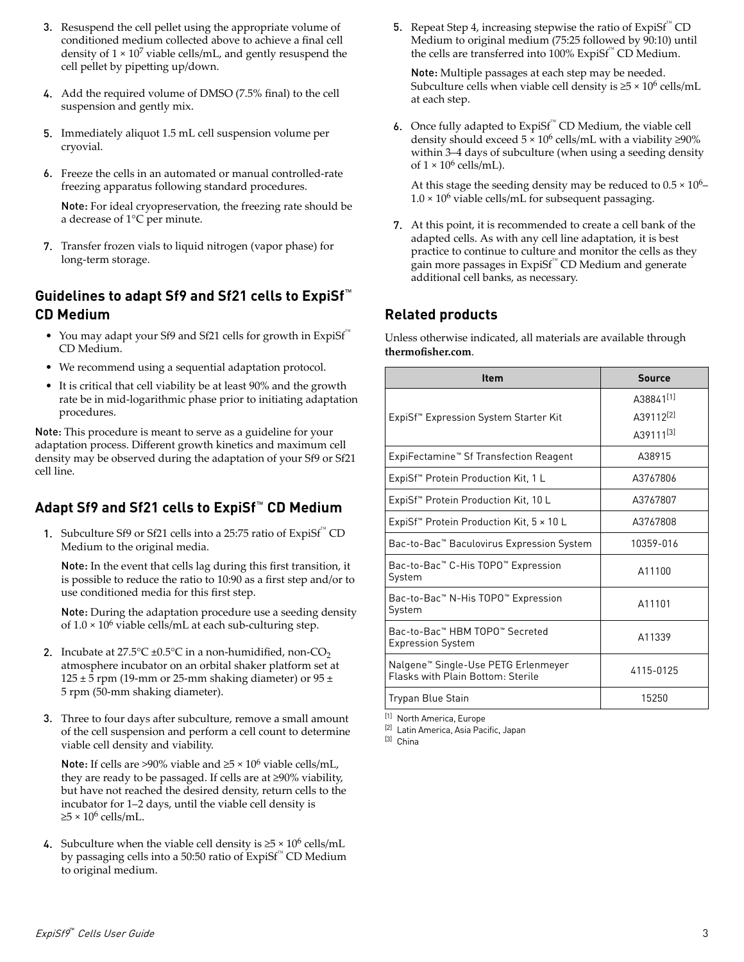- 3. Resuspend the cell pellet using the appropriate volume of conditioned medium collected above to achieve a final cell density of  $1 \times 10^7$  viable cells/mL, and gently resuspend the cell pellet by pipetting up/down.
- 4. Add the required volume of DMSO (7.5% final) to the cell suspension and gently mix.
- 5. Immediately aliquot 1.5 mL cell suspension volume per cryovial.
- 6. Freeze the cells in an automated or manual controlled-rate freezing apparatus following standard procedures.

Note: For ideal cryopreservation, the freezing rate should be a decrease of 1°C per minute.

7. Transfer frozen vials to liquid nitrogen (vapor phase) for long-term storage.

#### **Guidelines to adapt Sf9 and Sf21 cells to ExpiSf**™ **CD Medium**

- You may adapt your Sf9 and Sf21 cells for growth in ExpiSf™ CD Medium.
- We recommend using a sequential adaptation protocol.
- It is critical that cell viability be at least 90% and the growth rate be in mid-logarithmic phase prior to initiating adaptation procedures.

Note: This procedure is meant to serve as a guideline for your adaptation process. Different growth kinetics and maximum cell density may be observed during the adaptation of your Sf9 or Sf21 cell line.

## **Adapt Sf9 and Sf21 cells to ExpiSf**™ **CD Medium**

1. Subculture Sf9 or Sf21 cells into a 25:75 ratio of ExpiSf<sup>™</sup> CD Medium to the original media.

Note: In the event that cells lag during this first transition, it is possible to reduce the ratio to 10:90 as a first step and/or to use conditioned media for this first step.

Note: During the adaptation procedure use a seeding density of  $1.0 \times 10^6$  viable cells/mL at each sub-culturing step.

- 2. Incubate at  $27.5^{\circ}$ C ±0.5°C in a non-humidified, non-CO<sub>2</sub> atmosphere incubator on an orbital shaker platform set at  $125 \pm 5$  rpm (19-mm or 25-mm shaking diameter) or 95  $\pm$ 5 rpm (50-mm shaking diameter).
- 3. Three to four days after subculture, remove a small amount of the cell suspension and perform a cell count to determine viable cell density and viability.

Note: If cells are >90% viable and  $≥5 × 10<sup>6</sup>$  viable cells/mL, they are ready to be passaged. If cells are at ≥90% viability, but have not reached the desired density, return cells to the incubator for 1–2 days, until the viable cell density is  $\geq$ 5 × 10<sup>6</sup> cells/mL.

4. Subculture when the viable cell density is  $\geq 5 \times 10^6$  cells/mL by passaging cells into a 50:50 ratio of ExpiSf<sup>™</sup> CD Medium to original medium.

**5.** Repeat Step 4, increasing stepwise the ratio of  $Expisf^{\mathbb{N}}CD$ Medium to original medium (75:25 followed by 90:10) until the cells are transferred into 100% ExpiSf™ CD Medium.

Note: Multiple passages at each step may be needed. Subculture cells when viable cell density is  $\geq 5 \times 10^6$  cells/mL at each step.

6. Once fully adapted to  $ExpiSf^{\mathbb{N}}$  CD Medium, the viable cell density should exceed  $5 \times 10^6$  cells/mL with a viability  $\geq 90\%$ within 3–4 days of subculture (when using a seeding density of  $1 \times 10^6$  cells/mL).

At this stage the seeding density may be reduced to  $0.5 \times 10^6$ - $1.0 \times 10^6$  viable cells/mL for subsequent passaging.

7. At this point, it is recommended to create a cell bank of the adapted cells. As with any cell line adaptation, it is best practice to continue to culture and monitor the cells as they gain more passages in ExpiSf™ CD Medium and generate additional cell banks, as necessary.

## **Related products**

Unless otherwise indicated, all materials are available through **[thermofisherǯcom](http://www.thermofisher.com)**.

| Item                                                                                 | <b>Source</b>         |
|--------------------------------------------------------------------------------------|-----------------------|
|                                                                                      | A38841[1]             |
| ExpiSf™ Expression System Starter Kit                                                | A39112 <sup>[2]</sup> |
|                                                                                      | A39111[3]             |
| ExpiFectamine™ Sf Transfection Reagent                                               | A38915                |
| ExpiSf <sup>™</sup> Protein Production Kit, 1 L                                      | A3767806              |
| ExpiSf <sup>™</sup> Protein Production Kit, 10 L                                     | A3767807              |
| ExpiSf <sup>™</sup> Protein Production Kit, $5 \times 10$ L                          | A3767808              |
| Bac-to-Bac™ Baculovirus Expression System                                            | 10359-016             |
| Bac-to-Bac™ C-His TOPO™ Expression<br>System                                         | A11100                |
| Bac-to-Bac <sup>™</sup> N-His TOPO <sup>™</sup> Expression<br>System                 | A11101                |
| Bac-to-Bac™ HBM TOPO™ Secreted<br><b>Expression System</b>                           | A11339                |
| Nalgene <sup>™</sup> Single-Use PETG Erlenmeyer<br>Flasks with Plain Bottom: Sterile | 4115-0125             |
| Trypan Blue Stain                                                                    | 15250                 |

[1] North America, Europe

[2] Latin America, Asia Pacific, Japan

[3] China